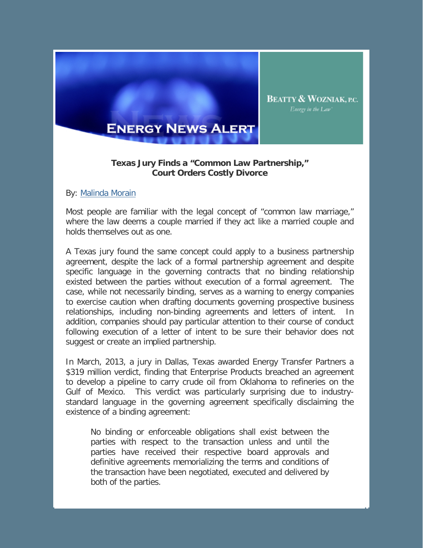

## **Texas Jury Finds a "Common Law Partnership," Court Orders Costly Divorce**

By: Malinda Morain

Most people are familiar with the legal concept of "common law marriage," where the law deems a couple married if they act like a married couple and holds themselves out as one.

A Texas jury found the same concept could apply to a business partnership agreement, despite the lack of a formal partnership agreement and despite specific language in the governing contracts that no binding relationship existed between the parties without execution of a formal agreement. The case, while not necessarily binding, serves as a warning to energy companies to exercise caution when drafting documents governing prospective business relationships, including non-binding agreements and letters of intent. In addition, companies should pay particular attention to their course of conduct following execution of a letter of intent to be sure their behavior does not suggest or create an implied partnership.

In March, 2013, a jury in Dallas, Texas awarded Energy Transfer Partners a \$319 million verdict, finding that Enterprise Products breached an agreement to develop a pipeline to carry crude oil from Oklahoma to refineries on the Gulf of Mexico. This verdict was particularly surprising due to industrystandard language in the governing agreement specifically disclaiming the existence of a binding agreement:

No binding or enforceable obligations shall exist between the parties with respect to the transaction unless and until the parties have received their respective board approvals and definitive agreements memorializing the terms and conditions of the transaction have been negotiated, executed and delivered by both of the parties.